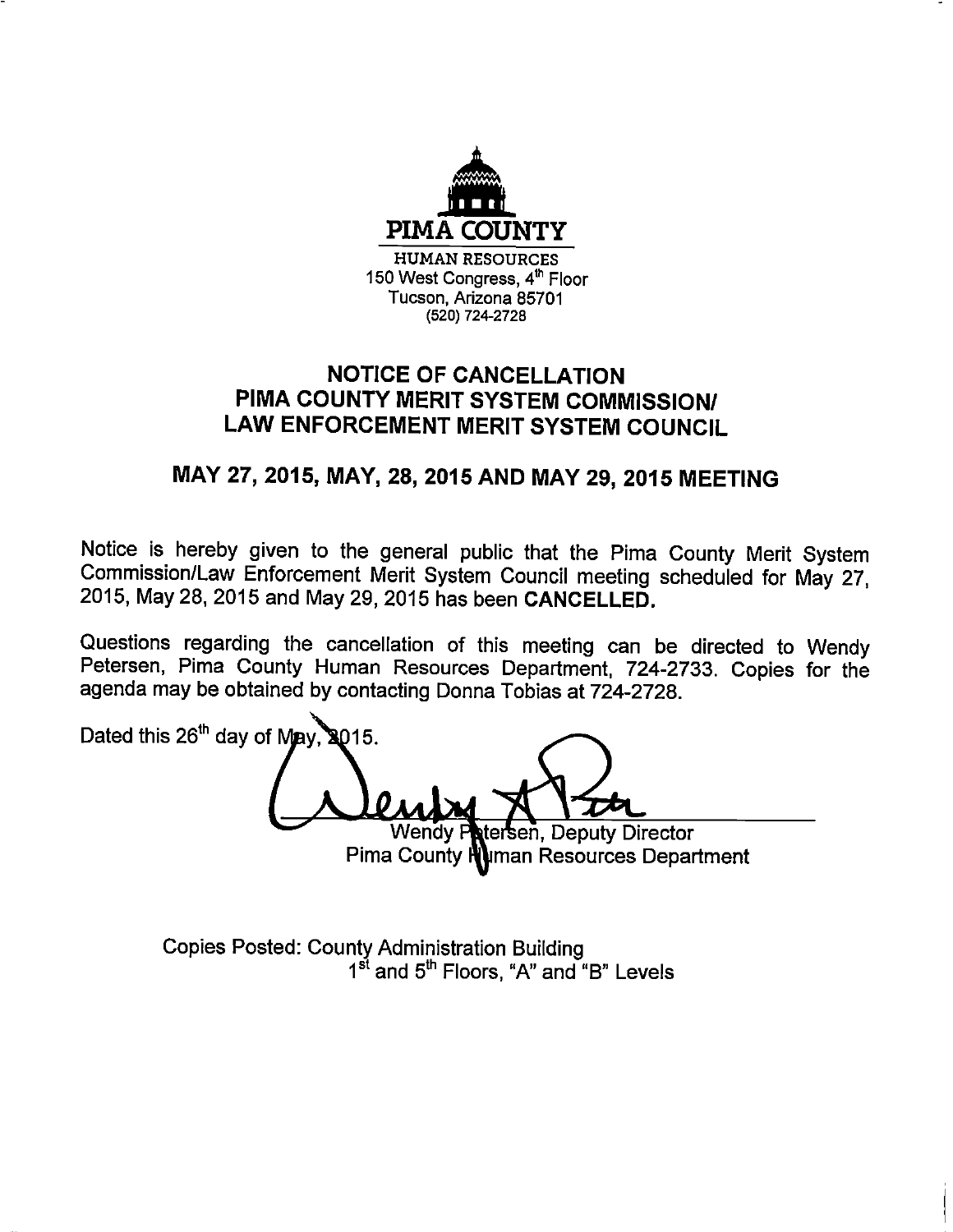

## **NOTICE OF CANCELLATION** PIMA COUNTY MERIT SYSTEM COMMISSION/ LAW ENFORCEMENT MERIT SYSTEM COUNCIL

## MAY 27, 2015, MAY, 28, 2015 AND MAY 29, 2015 MEETING

Notice is hereby given to the general public that the Pima County Merit System Commission/Law Enforcement Merit System Council meeting scheduled for May 27, 2015, May 28, 2015 and May 29, 2015 has been CANCELLED.

Questions regarding the cancellation of this meeting can be directed to Wendy Petersen, Pima County Human Resources Department, 724-2733. Copies for the agenda may be obtained by contacting Donna Tobias at 724-2728.

Dated this 26<sup>th</sup> day of May, 8015.

stersen, Deputy Director **Wendy P** Pima County Numan Resources Department

**Copies Posted: County Administration Building** 1<sup>st</sup> and 5<sup>th</sup> Floors, "A" and "B" Levels